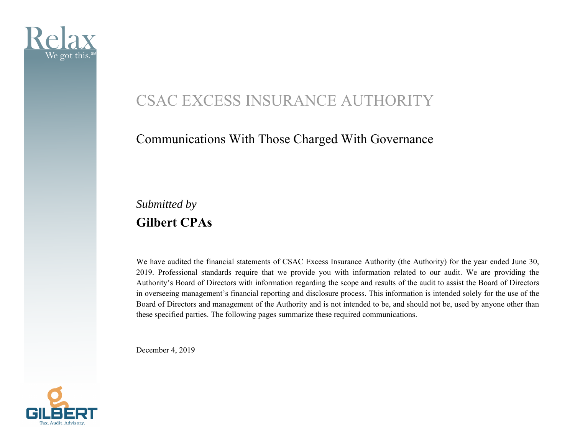

## CSAC EXCESS INSURANCE AUTHORITY

## Communications With Those Charged With Governance

*Submitted by*  **Gilbert CPAs** 

We have audited the financial statements of CSAC Excess Insurance Authority (the Authority) for the year ended June 30, 2019. Professional standards require that we provide you with information related to our audit. We are providing the Authority's Board of Directors with information regarding the scope and results of the audit to assist the Board of Directors in overseeing management's financial reporting and disclosure process. This information is intended solely for the use of the Board of Directors and management of the Authority and is not intended to be, and should not be, used by anyone other than these specified parties. The following pages summarize these required communications.

December 4, 2019

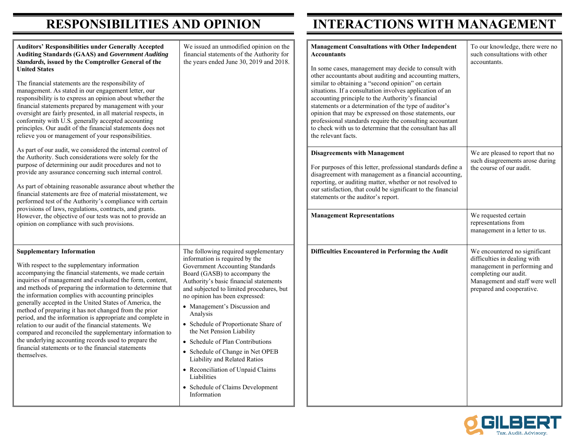| <b>Auditors' Responsibilities under Generally Accepted</b><br><b>Auditing Standards (GAAS) and Government Auditing</b><br>Standards, issued by the Comptroller General of the<br><b>United States</b><br>The financial statements are the responsibility of<br>management. As stated in our engagement letter, our<br>responsibility is to express an opinion about whether the<br>financial statements prepared by management with your<br>oversight are fairly presented, in all material respects, in<br>conformity with U.S. generally accepted accounting<br>principles. Our audit of the financial statements does not<br>relieve you or management of your responsibilities.                                                                                | We issued an unmodified opinion on the<br>financial statements of the Authority for<br>the years ended June 30, 2019 and 2018.                                                                                                                                                                                                                                                                                                                                                                                                                                                                      | <b>Management Consultations with Other Independent</b><br><b>Accountants</b><br>In some cases, management may decide to consult with<br>other accountants about auditing and accounting matters,<br>similar to obtaining a "second opinion" on certain<br>situations. If a consultation involves application of an<br>accounting principle to the Authority's financial<br>statements or a determination of the type of auditor's<br>opinion that may be expressed on those statements, our<br>professional standards require the consulting accountant<br>to check with us to determine that the consultant has all<br>the relevant facts. | To our knowledge, there were no<br>such consultations with other<br>accountants.                                                                                                      |
|--------------------------------------------------------------------------------------------------------------------------------------------------------------------------------------------------------------------------------------------------------------------------------------------------------------------------------------------------------------------------------------------------------------------------------------------------------------------------------------------------------------------------------------------------------------------------------------------------------------------------------------------------------------------------------------------------------------------------------------------------------------------|-----------------------------------------------------------------------------------------------------------------------------------------------------------------------------------------------------------------------------------------------------------------------------------------------------------------------------------------------------------------------------------------------------------------------------------------------------------------------------------------------------------------------------------------------------------------------------------------------------|---------------------------------------------------------------------------------------------------------------------------------------------------------------------------------------------------------------------------------------------------------------------------------------------------------------------------------------------------------------------------------------------------------------------------------------------------------------------------------------------------------------------------------------------------------------------------------------------------------------------------------------------|---------------------------------------------------------------------------------------------------------------------------------------------------------------------------------------|
| As part of our audit, we considered the internal control of<br>the Authority. Such considerations were solely for the<br>purpose of determining our audit procedures and not to<br>provide any assurance concerning such internal control.<br>As part of obtaining reasonable assurance about whether the<br>financial statements are free of material misstatement, we<br>performed test of the Authority's compliance with certain<br>provisions of laws, regulations, contracts, and grants.                                                                                                                                                                                                                                                                    |                                                                                                                                                                                                                                                                                                                                                                                                                                                                                                                                                                                                     | <b>Disagreements with Management</b><br>For purposes of this letter, professional standards define a<br>disagreement with management as a financial accounting,<br>reporting, or auditing matter, whether or not resolved to<br>our satisfaction, that could be significant to the financial<br>statements or the auditor's report.                                                                                                                                                                                                                                                                                                         | We are pleased to report that no<br>such disagreements arose during<br>the course of our audit.                                                                                       |
| However, the objective of our tests was not to provide an<br>opinion on compliance with such provisions.                                                                                                                                                                                                                                                                                                                                                                                                                                                                                                                                                                                                                                                           |                                                                                                                                                                                                                                                                                                                                                                                                                                                                                                                                                                                                     | <b>Management Representations</b>                                                                                                                                                                                                                                                                                                                                                                                                                                                                                                                                                                                                           | We requested certain<br>representations from<br>management in a letter to us.                                                                                                         |
| <b>Supplementary Information</b><br>With respect to the supplementary information<br>accompanying the financial statements, we made certain<br>inquiries of management and evaluated the form, content,<br>and methods of preparing the information to determine that<br>the information complies with accounting principles<br>generally accepted in the United States of America, the<br>method of preparing it has not changed from the prior<br>period, and the information is appropriate and complete in<br>relation to our audit of the financial statements. We<br>compared and reconciled the supplementary information to<br>the underlying accounting records used to prepare the<br>financial statements or to the financial statements<br>themselves. | The following required supplementary<br>information is required by the<br>Government Accounting Standards<br>Board (GASB) to accompany the<br>Authority's basic financial statements<br>and subjected to limited procedures, but<br>no opinion has been expressed:<br>• Management's Discussion and<br>Analysis<br>• Schedule of Proportionate Share of<br>the Net Pension Liability<br>• Schedule of Plan Contributions<br>• Schedule of Change in Net OPEB<br>Liability and Related Ratios<br>• Reconciliation of Unpaid Claims<br>Liabilities<br>• Schedule of Claims Development<br>Information | Difficulties Encountered in Performing the Audit                                                                                                                                                                                                                                                                                                                                                                                                                                                                                                                                                                                            | We encountered no significant<br>difficulties in dealing with<br>management in performing and<br>completing our audit.<br>Management and staff were well<br>prepared and cooperative. |



**INTERACTIONS WITH MANAGEMENT**